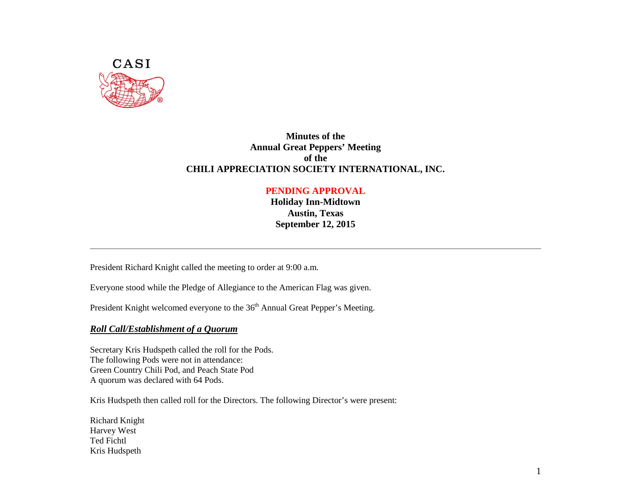

# **Minutes of the Annual Great Peppers' Meeting of the CHILI APPRECIATION SOCIETY INTERNATIONAL, INC.**

### **PENDING APPROVAL**

**Holiday Inn-Midtown Austin, Texas September 12, 2015**

President Richard Knight called the meeting to order at 9:00 a.m.

Everyone stood while the Pledge of Allegiance to the American Flag was given.

President Knight welcomed everyone to the 36<sup>th</sup> Annual Great Pepper's Meeting.

#### *Roll Call/Establishment of a Quorum*

Secretary Kris Hudspeth called the roll for the Pods. The following Pods were not in attendance: Green Country Chili Pod, and Peach State Pod A quorum was declared with 64 Pods.

Kris Hudspeth then called roll for the Directors. The following Director's were present:

Richard Knight Harvey West Ted Fichtl Kris Hudspeth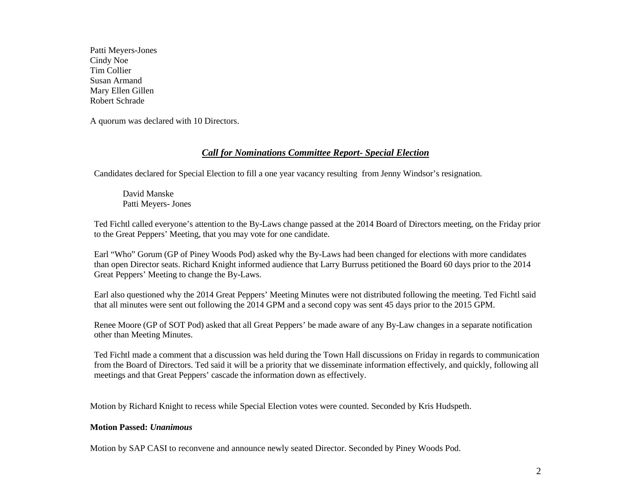Patti Meyers-Jones Cindy Noe Tim Collier Susan Armand Mary Ellen Gillen Robert Schrade

A quorum was declared with 10 Directors.

# *Call for Nominations Committee Report- Special Election*

Candidates declared for Special Election to fill a one year vacancy resulting from Jenny Windsor's resignation.

David Manske Patti Meyers- Jones

Ted Fichtl called everyone's attention to the By-Laws change passed at the 2014 Board of Directors meeting, on the Friday prior to the Great Peppers' Meeting, that you may vote for one candidate.

Earl "Who" Gorum (GP of Piney Woods Pod) asked why the By-Laws had been changed for elections with more candidates than open Director seats. Richard Knight informed audience that Larry Burruss petitioned the Board 60 days prior to the 2014 Great Peppers' Meeting to change the By-Laws.

Earl also questioned why the 2014 Great Peppers' Meeting Minutes were not distributed following the meeting. Ted Fichtl said that all minutes were sent out following the 2014 GPM and a second copy was sent 45 days prior to the 2015 GPM.

Renee Moore (GP of SOT Pod) asked that all Great Peppers' be made aware of any By-Law changes in a separate notification other than Meeting Minutes.

Ted Fichtl made a comment that a discussion was held during the Town Hall discussions on Friday in regards to communication from the Board of Directors. Ted said it will be a priority that we disseminate information effectively, and quickly, following all meetings and that Great Peppers' cascade the information down as effectively.

Motion by Richard Knight to recess while Special Election votes were counted. Seconded by Kris Hudspeth.

#### **Motion Passed:** *Unanimous*

Motion by SAP CASI to reconvene and announce newly seated Director. Seconded by Piney Woods Pod.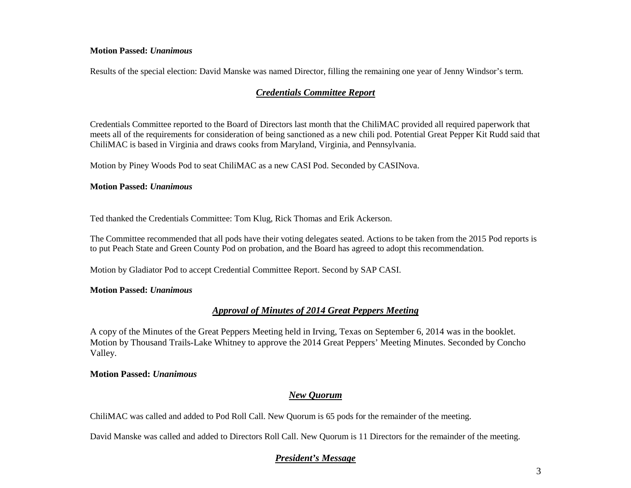#### **Motion Passed:** *Unanimous*

Results of the special election: David Manske was named Director, filling the remaining one year of Jenny Windsor's term.

# *Credentials Committee Report*

Credentials Committee reported to the Board of Directors last month that the ChiliMAC provided all required paperwork that meets all of the requirements for consideration of being sanctioned as a new chili pod. Potential Great Pepper Kit Rudd said that ChiliMAC is based in Virginia and draws cooks from Maryland, Virginia, and Pennsylvania.

Motion by Piney Woods Pod to seat ChiliMAC as a new CASI Pod. Seconded by CASINova.

#### **Motion Passed:** *Unanimous*

Ted thanked the Credentials Committee: Tom Klug, Rick Thomas and Erik Ackerson.

The Committee recommended that all pods have their voting delegates seated. Actions to be taken from the 2015 Pod reports is to put Peach State and Green County Pod on probation, and the Board has agreed to adopt this recommendation.

Motion by Gladiator Pod to accept Credential Committee Report. Second by SAP CASI.

#### **Motion Passed:** *Unanimous*

# *Approval of Minutes of 2014 Great Peppers Meeting*

A copy of the Minutes of the Great Peppers Meeting held in Irving, Texas on September 6, 2014 was in the booklet. Motion by Thousand Trails-Lake Whitney to approve the 2014 Great Peppers' Meeting Minutes. Seconded by Concho Valley.

#### **Motion Passed:** *Unanimous*

### *New Quorum*

ChiliMAC was called and added to Pod Roll Call. New Quorum is 65 pods for the remainder of the meeting.

David Manske was called and added to Directors Roll Call. New Quorum is 11 Directors for the remainder of the meeting.

# *President's Message*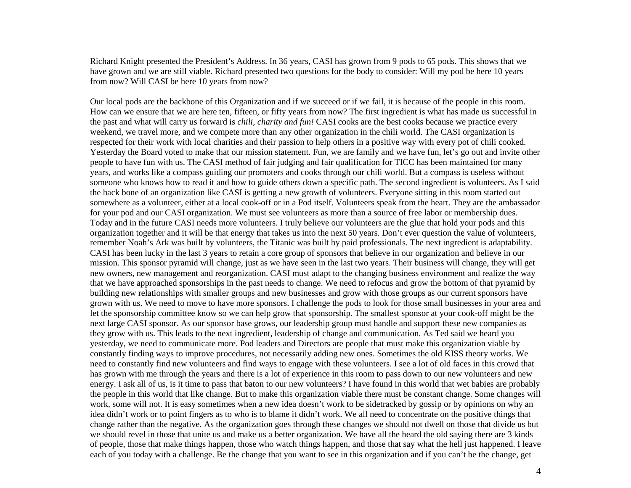Richard Knight presented the President's Address. In 36 years, CASI has grown from 9 pods to 65 pods. This shows that we have grown and we are still viable. Richard presented two questions for the body to consider: Will my pod be here 10 years from now? Will CASI be here 10 years from now?

Our local pods are the backbone of this Organization and if we succeed or if we fail, it is because of the people in this room. How can we ensure that we are here ten, fifteen, or fifty years from now? The first ingredient is what has made us successful in the past and what will carry us forward is *chili, charity and fun!* CASI cooks are the best cooks because we practice every weekend, we travel more, and we compete more than any other organization in the chili world. The CASI organization is respected for their work with local charities and their passion to help others in a positive way with every pot of chili cooked. Yesterday the Board voted to make that our mission statement. Fun, we are family and we have fun, let's go out and invite other people to have fun with us. The CASI method of fair judging and fair qualification for TICC has been maintained for many years, and works like a compass guiding our promoters and cooks through our chili world. But a compass is useless without someone who knows how to read it and how to guide others down a specific path. The second ingredient is volunteers. As I said the back bone of an organization like CASI is getting a new growth of volunteers. Everyone sitting in this room started out somewhere as a volunteer, either at a local cook-off or in a Pod itself. Volunteers speak from the heart. They are the ambassador for your pod and our CASI organization. We must see volunteers as more than a source of free labor or membership dues. Today and in the future CASI needs more volunteers. I truly believe our volunteers are the glue that hold your pods and this organization together and it will be that energy that takes us into the next 50 years. Don't ever question the value of volunteers, remember Noah's Ark was built by volunteers, the Titanic was built by paid professionals. The next ingredient is adaptability. CASI has been lucky in the last 3 years to retain a core group of sponsors that believe in our organization and believe in our mission. This sponsor pyramid will change, just as we have seen in the last two years. Their business will change, they will get new owners, new management and reorganization. CASI must adapt to the changing business environment and realize the way that we have approached sponsorships in the past needs to change. We need to refocus and grow the bottom of that pyramid by building new relationships with smaller groups and new businesses and grow with those groups as our current sponsors have grown with us. We need to move to have more sponsors. I challenge the pods to look for those small businesses in your area and let the sponsorship committee know so we can help grow that sponsorship. The smallest sponsor at your cook-off might be the next large CASI sponsor. As our sponsor base grows, our leadership group must handle and support these new companies as they grow with us. This leads to the next ingredient, leadership of change and communication. As Ted said we heard you yesterday, we need to communicate more. Pod leaders and Directors are people that must make this organization viable by constantly finding ways to improve procedures, not necessarily adding new ones. Sometimes the old KISS theory works. We need to constantly find new volunteers and find ways to engage with these volunteers. I see a lot of old faces in this crowd that has grown with me through the years and there is a lot of experience in this room to pass down to our new volunteers and new energy. I ask all of us, is it time to pass that baton to our new volunteers? I have found in this world that wet babies are probably the people in this world that like change. But to make this organization viable there must be constant change. Some changes will work, some will not. It is easy sometimes when a new idea doesn't work to be sidetracked by gossip or by opinions on why an idea didn't work or to point fingers as to who is to blame it didn't work. We all need to concentrate on the positive things that change rather than the negative. As the organization goes through these changes we should not dwell on those that divide us but we should revel in those that unite us and make us a better organization. We have all the heard the old saying there are 3 kinds of people, those that make things happen, those who watch things happen, and those that say what the hell just happened. I leave each of you today with a challenge. Be the change that you want to see in this organization and if you can't be the change, get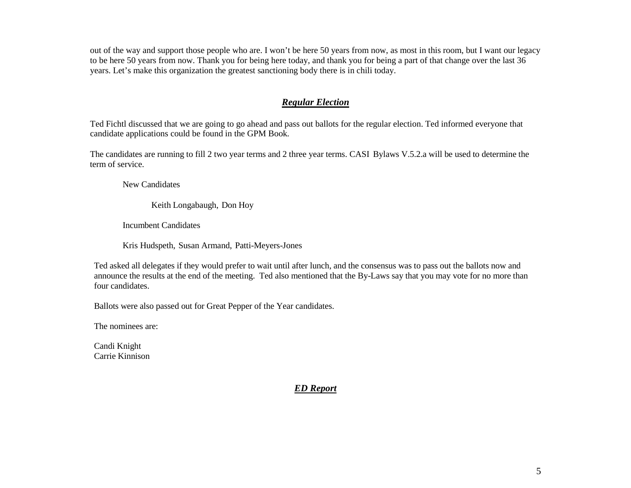out of the way and support those people who are. I won't be here 50 years from now, as most in this room, but I want our legacy to be here 50 years from now. Thank you for being here today, and thank you for being a part of that change over the last 36 years. Let's make this organization the greatest sanctioning body there is in chili today.

### *Regular Election*

Ted Fichtl discussed that we are going to go ahead and pass out ballots for the regular election. Ted informed everyone that candidate applications could be found in the GPM Book.

The candidates are running to fill 2 two year terms and 2 three year terms. CASI Bylaws V.5.2.a will be used to determine the term of service.

New Candidates

Keith Longabaugh, Don Hoy

Incumbent Candidates

Kris Hudspeth, Susan Armand, Patti-Meyers-Jones

Ted asked all delegates if they would prefer to wait until after lunch, and the consensus was to pass out the ballots now and announce the results at the end of the meeting. Ted also mentioned that the By-Laws say that you may vote for no more than four candidates.

Ballots were also passed out for Great Pepper of the Year candidates.

The nominees are:

Candi Knight Carrie Kinnison

# *ED Report*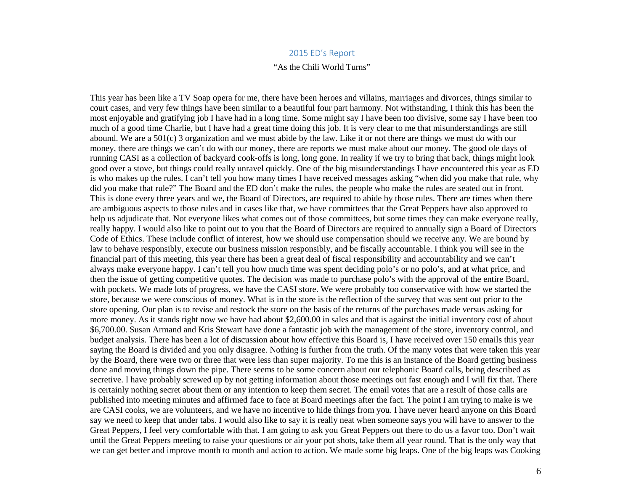#### 2015 ED's Report

#### "As the Chili World Turns"

This year has been like a TV Soap opera for me, there have been heroes and villains, marriages and divorces, things similar to court cases, and very few things have been similar to a beautiful four part harmony. Not withstanding, I think this has been the most enjoyable and gratifying job I have had in a long time. Some might say I have been too divisive, some say I have been too much of a good time Charlie, but I have had a great time doing this job. It is very clear to me that misunderstandings are still abound. We are a 501(c) 3 organization and we must abide by the law. Like it or not there are things we must do with our money, there are things we can't do with our money, there are reports we must make about our money. The good ole days of running CASI as a collection of backyard cook-offs is long, long gone. In reality if we try to bring that back, things might look good over a stove, but things could really unravel quickly. One of the big misunderstandings I have encountered this year as ED is who makes up the rules. I can't tell you how many times I have received messages asking "when did you make that rule, why did you make that rule?" The Board and the ED don't make the rules, the people who make the rules are seated out in front. This is done every three years and we, the Board of Directors, are required to abide by those rules. There are times when there are ambiguous aspects to those rules and in cases like that, we have committees that the Great Peppers have also approved to help us adjudicate that. Not everyone likes what comes out of those committees, but some times they can make everyone really, really happy. I would also like to point out to you that the Board of Directors are required to annually sign a Board of Directors Code of Ethics. These include conflict of interest, how we should use compensation should we receive any. We are bound by law to behave responsibly, execute our business mission responsibly, and be fiscally accountable. I think you will see in the financial part of this meeting, this year there has been a great deal of fiscal responsibility and accountability and we can't always make everyone happy. I can't tell you how much time was spent deciding polo's or no polo's, and at what price, and then the issue of getting competitive quotes. The decision was made to purchase polo's with the approval of the entire Board, with pockets. We made lots of progress, we have the CASI store. We were probably too conservative with how we started the store, because we were conscious of money. What is in the store is the reflection of the survey that was sent out prior to the store opening. Our plan is to revise and restock the store on the basis of the returns of the purchases made versus asking for more money. As it stands right now we have had about \$2,600.00 in sales and that is against the initial inventory cost of about \$6,700.00. Susan Armand and Kris Stewart have done a fantastic job with the management of the store, inventory control, and budget analysis. There has been a lot of discussion about how effective this Board is, I have received over 150 emails this year saying the Board is divided and you only disagree. Nothing is further from the truth. Of the many votes that were taken this year by the Board, there were two or three that were less than super majority. To me this is an instance of the Board getting business done and moving things down the pipe. There seems to be some concern about our telephonic Board calls, being described as secretive. I have probably screwed up by not getting information about those meetings out fast enough and I will fix that. There is certainly nothing secret about them or any intention to keep them secret. The email votes that are a result of those calls are published into meeting minutes and affirmed face to face at Board meetings after the fact. The point I am trying to make is we are CASI cooks, we are volunteers, and we have no incentive to hide things from you. I have never heard anyone on this Board say we need to keep that under tabs. I would also like to say it is really neat when someone says you will have to answer to the Great Peppers, I feel very comfortable with that. I am going to ask you Great Peppers out there to do us a favor too. Don't wait until the Great Peppers meeting to raise your questions or air your pot shots, take them all year round. That is the only way that we can get better and improve month to month and action to action. We made some big leaps. One of the big leaps was Cooking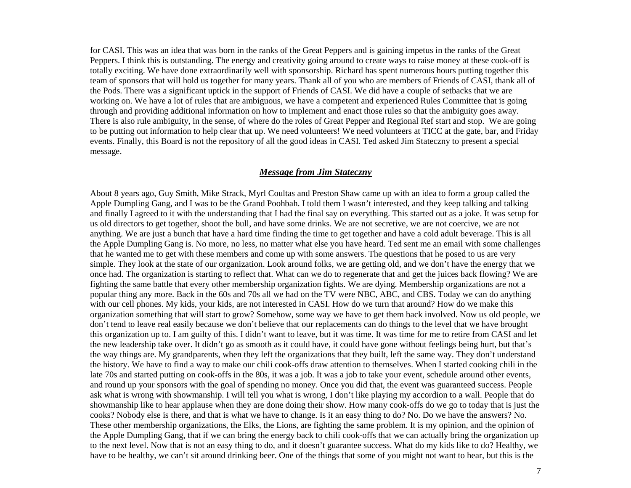for CASI. This was an idea that was born in the ranks of the Great Peppers and is gaining impetus in the ranks of the Great Peppers. I think this is outstanding. The energy and creativity going around to create ways to raise money at these cook-off is totally exciting. We have done extraordinarily well with sponsorship. Richard has spent numerous hours putting together this team of sponsors that will hold us together for many years. Thank all of you who are members of Friends of CASI, thank all of the Pods. There was a significant uptick in the support of Friends of CASI. We did have a couple of setbacks that we are working on. We have a lot of rules that are ambiguous, we have a competent and experienced Rules Committee that is going through and providing additional information on how to implement and enact those rules so that the ambiguity goes away. There is also rule ambiguity, in the sense, of where do the roles of Great Pepper and Regional Ref start and stop. We are going to be putting out information to help clear that up. We need volunteers! We need volunteers at TICC at the gate, bar, and Friday events. Finally, this Board is not the repository of all the good ideas in CASI. Ted asked Jim Stateczny to present a special message.

### *Message from Jim Stateczny*

About 8 years ago, Guy Smith, Mike Strack, Myrl Coultas and Preston Shaw came up with an idea to form a group called the Apple Dumpling Gang, and I was to be the Grand Poohbah. I told them I wasn't interested, and they keep talking and talking and finally I agreed to it with the understanding that I had the final say on everything. This started out as a joke. It was setup for us old directors to get together, shoot the bull, and have some drinks. We are not secretive, we are not coercive, we are not anything. We are just a bunch that have a hard time finding the time to get together and have a cold adult beverage. This is all the Apple Dumpling Gang is. No more, no less, no matter what else you have heard. Ted sent me an email with some challenges that he wanted me to get with these members and come up with some answers. The questions that he posed to us are very simple. They look at the state of our organization. Look around folks, we are getting old, and we don't have the energy that we once had. The organization is starting to reflect that. What can we do to regenerate that and get the juices back flowing? We are fighting the same battle that every other membership organization fights. We are dying. Membership organizations are not a popular thing any more. Back in the 60s and 70s all we had on the TV were NBC, ABC, and CBS. Today we can do anything with our cell phones. My kids, your kids, are not interested in CASI. How do we turn that around? How do we make this organization something that will start to grow? Somehow, some way we have to get them back involved. Now us old people, we don't tend to leave real easily because we don't believe that our replacements can do things to the level that we have brought this organization up to. I am guilty of this. I didn't want to leave, but it was time. It was time for me to retire from CASI and let the new leadership take over. It didn't go as smooth as it could have, it could have gone without feelings being hurt, but that's the way things are. My grandparents, when they left the organizations that they built, left the same way. They don't understand the history. We have to find a way to make our chili cook-offs draw attention to themselves. When I started cooking chili in the late 70s and started putting on cook-offs in the 80s, it was a job. It was a job to take your event, schedule around other events, and round up your sponsors with the goal of spending no money. Once you did that, the event was guaranteed success. People ask what is wrong with showmanship. I will tell you what is wrong, I don't like playing my accordion to a wall. People that do showmanship like to hear applause when they are done doing their show. How many cook-offs do we go to today that is just the cooks? Nobody else is there, and that is what we have to change. Is it an easy thing to do? No. Do we have the answers? No. These other membership organizations, the Elks, the Lions, are fighting the same problem. It is my opinion, and the opinion of the Apple Dumpling Gang, that if we can bring the energy back to chili cook-offs that we can actually bring the organization up to the next level. Now that is not an easy thing to do, and it doesn't guarantee success. What do my kids like to do? Healthy, we have to be healthy, we can't sit around drinking beer. One of the things that some of you might not want to hear, but this is the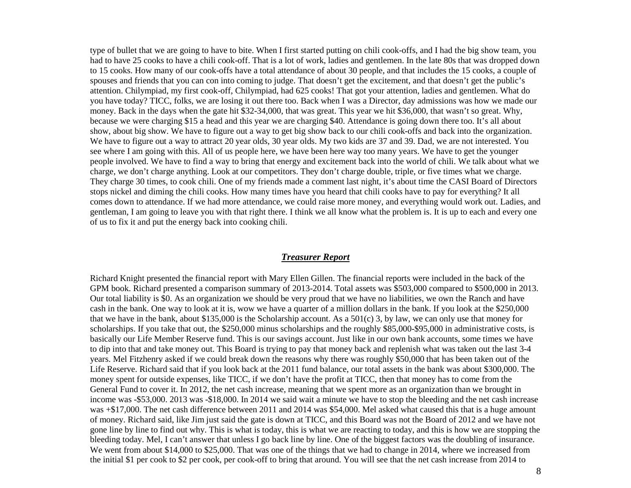type of bullet that we are going to have to bite. When I first started putting on chili cook-offs, and I had the big show team, you had to have 25 cooks to have a chili cook-off. That is a lot of work, ladies and gentlemen. In the late 80s that was dropped down to 15 cooks. How many of our cook-offs have a total attendance of about 30 people, and that includes the 15 cooks, a couple of spouses and friends that you can con into coming to judge. That doesn't get the excitement, and that doesn't get the public's attention. Chilympiad, my first cook-off, Chilympiad, had 625 cooks! That got your attention, ladies and gentlemen. What do you have today? TICC, folks, we are losing it out there too. Back when I was a Director, day admissions was how we made our money. Back in the days when the gate hit \$32-34,000, that was great. This year we hit \$36,000, that wasn't so great. Why, because we were charging \$15 a head and this year we are charging \$40. Attendance is going down there too. It's all about show, about big show. We have to figure out a way to get big show back to our chili cook-offs and back into the organization. We have to figure out a way to attract 20 year olds, 30 year olds. My two kids are 37 and 39. Dad, we are not interested. You see where I am going with this. All of us people here, we have been here way too many years. We have to get the younger people involved. We have to find a way to bring that energy and excitement back into the world of chili. We talk about what we charge, we don't charge anything. Look at our competitors. They don't charge double, triple, or five times what we charge. They charge 30 times, to cook chili. One of my friends made a comment last night, it's about time the CASI Board of Directors stops nickel and diming the chili cooks. How many times have you heard that chili cooks have to pay for everything? It all comes down to attendance. If we had more attendance, we could raise more money, and everything would work out. Ladies, and gentleman, I am going to leave you with that right there. I think we all know what the problem is. It is up to each and every one of us to fix it and put the energy back into cooking chili.

#### *Treasurer Report*

Richard Knight presented the financial report with Mary Ellen Gillen. The financial reports were included in the back of the GPM book. Richard presented a comparison summary of 2013-2014. Total assets was \$503,000 compared to \$500,000 in 2013. Our total liability is \$0. As an organization we should be very proud that we have no liabilities, we own the Ranch and have cash in the bank. One way to look at it is, wow we have a quarter of a million dollars in the bank. If you look at the \$250,000 that we have in the bank, about \$135,000 is the Scholarship account. As a 501(c) 3, by law, we can only use that money for scholarships. If you take that out, the \$250,000 minus scholarships and the roughly \$85,000-\$95,000 in administrative costs, is basically our Life Member Reserve fund. This is our savings account. Just like in our own bank accounts, some times we have to dip into that and take money out. This Board is trying to pay that money back and replenish what was taken out the last 3-4 years. Mel Fitzhenry asked if we could break down the reasons why there was roughly \$50,000 that has been taken out of the Life Reserve. Richard said that if you look back at the 2011 fund balance, our total assets in the bank was about \$300,000. The money spent for outside expenses, like TICC, if we don't have the profit at TICC, then that money has to come from the General Fund to cover it. In 2012, the net cash increase, meaning that we spent more as an organization than we brought in income was -\$53,000. 2013 was -\$18,000. In 2014 we said wait a minute we have to stop the bleeding and the net cash increase was +\$17,000. The net cash difference between 2011 and 2014 was \$54,000. Mel asked what caused this that is a huge amount of money. Richard said, like Jim just said the gate is down at TICC, and this Board was not the Board of 2012 and we have not gone line by line to find out why. This is what is today, this is what we are reacting to today, and this is how we are stopping the bleeding today. Mel, I can't answer that unless I go back line by line. One of the biggest factors was the doubling of insurance. We went from about \$14,000 to \$25,000. That was one of the things that we had to change in 2014, where we increased from the initial \$1 per cook to \$2 per cook, per cook-off to bring that around. You will see that the net cash increase from 2014 to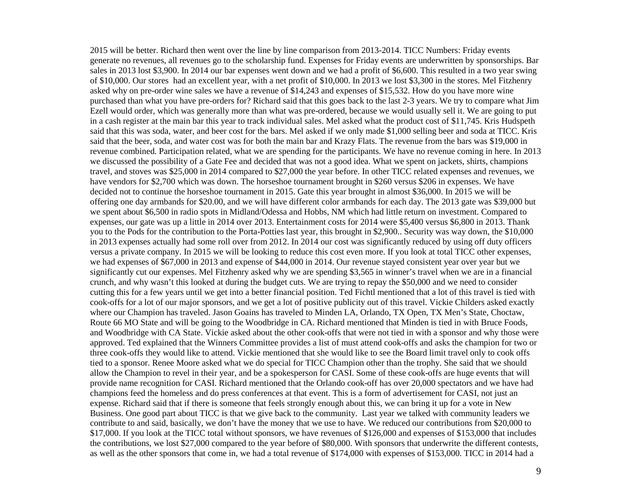2015 will be better. Richard then went over the line by line comparison from 2013-2014. TICC Numbers: Friday events generate no revenues, all revenues go to the scholarship fund. Expenses for Friday events are underwritten by sponsorships. Bar sales in 2013 lost \$3,900. In 2014 our bar expenses went down and we had a profit of \$6,600. This resulted in a two year swing of \$10,000. Our stores had an excellent year, with a net profit of \$10,000. In 2013 we lost \$3,300 in the stores. Mel Fitzhenry asked why on pre-order wine sales we have a revenue of \$14,243 and expenses of \$15,532. How do you have more wine purchased than what you have pre-orders for? Richard said that this goes back to the last 2-3 years. We try to compare what Jim Ezell would order, which was generally more than what was pre-ordered, because we would usually sell it. We are going to put in a cash register at the main bar this year to track individual sales. Mel asked what the product cost of \$11,745. Kris Hudspeth said that this was soda, water, and beer cost for the bars. Mel asked if we only made \$1,000 selling beer and soda at TICC. Kris said that the beer, soda, and water cost was for both the main bar and Krazy Flats. The revenue from the bars was \$19,000 in revenue combined. Participation related, what we are spending for the participants. We have no revenue coming in here. In 2013 we discussed the possibility of a Gate Fee and decided that was not a good idea. What we spent on jackets, shirts, champions travel, and stoves was \$25,000 in 2014 compared to \$27,000 the year before. In other TICC related expenses and revenues, we have vendors for \$2,700 which was down. The horseshoe tournament brought in \$260 versus \$206 in expenses. We have decided not to continue the horseshoe tournament in 2015. Gate this year brought in almost \$36,000. In 2015 we will be offering one day armbands for \$20.00, and we will have different color armbands for each day. The 2013 gate was \$39,000 but we spent about \$6,500 in radio spots in Midland/Odessa and Hobbs, NM which had little return on investment. Compared to expenses, our gate was up a little in 2014 over 2013. Entertainment costs for 2014 were \$5,400 versus \$6,800 in 2013. Thank you to the Pods for the contribution to the Porta-Potties last year, this brought in \$2,900.. Security was way down, the \$10,000 in 2013 expenses actually had some roll over from 2012. In 2014 our cost was significantly reduced by using off duty officers versus a private company. In 2015 we will be looking to reduce this cost even more. If you look at total TICC other expenses, we had expenses of \$67,000 in 2013 and expense of \$44,000 in 2014. Our revenue stayed consistent year over year but we significantly cut our expenses. Mel Fitzhenry asked why we are spending \$3,565 in winner's travel when we are in a financial crunch, and why wasn't this looked at during the budget cuts. We are trying to repay the \$50,000 and we need to consider cutting this for a few years until we get into a better financial position. Ted Fichtl mentioned that a lot of this travel is tied with cook-offs for a lot of our major sponsors, and we get a lot of positive publicity out of this travel. Vickie Childers asked exactly where our Champion has traveled. Jason Goains has traveled to Minden LA, Orlando, TX Open, TX Men's State, Choctaw, Route 66 MO State and will be going to the Woodbridge in CA. Richard mentioned that Minden is tied in with Bruce Foods, and Woodbridge with CA State. Vickie asked about the other cook-offs that were not tied in with a sponsor and why those were approved. Ted explained that the Winners Committee provides a list of must attend cook-offs and asks the champion for two or three cook-offs they would like to attend. Vickie mentioned that she would like to see the Board limit travel only to cook offs tied to a sponsor. Renee Moore asked what we do special for TICC Champion other than the trophy. She said that we should allow the Champion to revel in their year, and be a spokesperson for CASI. Some of these cook-offs are huge events that will provide name recognition for CASI. Richard mentioned that the Orlando cook-off has over 20,000 spectators and we have had champions feed the homeless and do press conferences at that event. This is a form of advertisement for CASI, not just an expense. Richard said that if there is someone that feels strongly enough about this, we can bring it up for a vote in New Business. One good part about TICC is that we give back to the community. Last year we talked with community leaders we contribute to and said, basically, we don't have the money that we use to have. We reduced our contributions from \$20,000 to \$17,000. If you look at the TICC total without sponsors, we have revenues of \$126,000 and expenses of \$153,000 that includes the contributions, we lost \$27,000 compared to the year before of \$80,000. With sponsors that underwrite the different contests, as well as the other sponsors that come in, we had a total revenue of \$174,000 with expenses of \$153,000. TICC in 2014 had a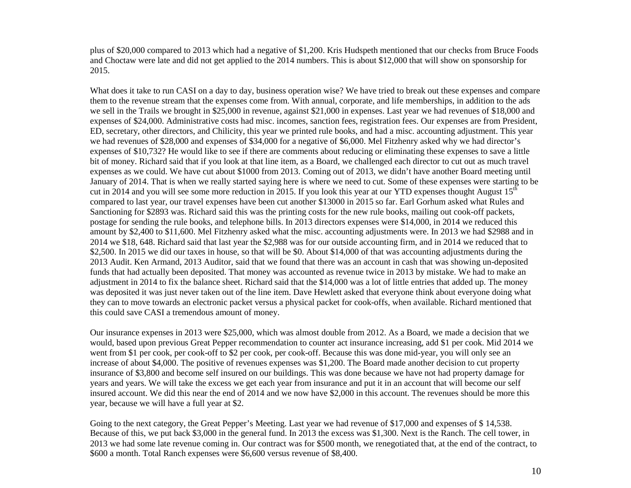plus of \$20,000 compared to 2013 which had a negative of \$1,200. Kris Hudspeth mentioned that our checks from Bruce Foods and Choctaw were late and did not get applied to the 2014 numbers. This is about \$12,000 that will show on sponsorship for 2015.

What does it take to run CASI on a day to day, business operation wise? We have tried to break out these expenses and compare them to the revenue stream that the expenses come from. With annual, corporate, and life memberships, in addition to the ads we sell in the Trails we brought in \$25,000 in revenue, against \$21,000 in expenses. Last year we had revenues of \$18,000 and expenses of \$24,000. Administrative costs had misc. incomes, sanction fees, registration fees. Our expenses are from President, ED, secretary, other directors, and Chilicity, this year we printed rule books, and had a misc. accounting adjustment. This year we had revenues of \$28,000 and expenses of \$34,000 for a negative of \$6,000. Mel Fitzhenry asked why we had director's expenses of \$10,732? He would like to see if there are comments about reducing or eliminating these expenses to save a little bit of money. Richard said that if you look at that line item, as a Board, we challenged each director to cut out as much travel expenses as we could. We have cut about \$1000 from 2013. Coming out of 2013, we didn't have another Board meeting until January of 2014. That is when we really started saying here is where we need to cut. Some of these expenses were starting to be cut in 2014 and you will see some more reduction in 2015. If you look this year at our YTD expenses thought August  $15<sup>th</sup>$ compared to last year, our travel expenses have been cut another \$13000 in 2015 so far. Earl Gorhum asked what Rules and Sanctioning for \$2893 was. Richard said this was the printing costs for the new rule books, mailing out cook-off packets, postage for sending the rule books, and telephone bills. In 2013 directors expenses were \$14,000, in 2014 we reduced this amount by \$2,400 to \$11,600. Mel Fitzhenry asked what the misc. accounting adjustments were. In 2013 we had \$2988 and in 2014 we \$18, 648. Richard said that last year the \$2,988 was for our outside accounting firm, and in 2014 we reduced that to \$2,500. In 2015 we did our taxes in house, so that will be \$0. About \$14,000 of that was accounting adjustments during the 2013 Audit. Ken Armand, 2013 Auditor, said that we found that there was an account in cash that was showing un-deposited funds that had actually been deposited. That money was accounted as revenue twice in 2013 by mistake. We had to make an adjustment in 2014 to fix the balance sheet. Richard said that the \$14,000 was a lot of little entries that added up. The money was deposited it was just never taken out of the line item. Dave Hewlett asked that everyone think about everyone doing what they can to move towards an electronic packet versus a physical packet for cook-offs, when available. Richard mentioned that this could save CASI a tremendous amount of money.

Our insurance expenses in 2013 were \$25,000, which was almost double from 2012. As a Board, we made a decision that we would, based upon previous Great Pepper recommendation to counter act insurance increasing, add \$1 per cook. Mid 2014 we went from \$1 per cook, per cook-off to \$2 per cook, per cook-off. Because this was done mid-year, you will only see an increase of about \$4,000. The positive of revenues expenses was \$1,200. The Board made another decision to cut property insurance of \$3,800 and become self insured on our buildings. This was done because we have not had property damage for years and years. We will take the excess we get each year from insurance and put it in an account that will become our self insured account. We did this near the end of 2014 and we now have \$2,000 in this account. The revenues should be more this year, because we will have a full year at \$2.

Going to the next category, the Great Pepper's Meeting. Last year we had revenue of \$17,000 and expenses of \$14,538. Because of this, we put back \$3,000 in the general fund. In 2013 the excess was \$1,300. Next is the Ranch. The cell tower, in 2013 we had some late revenue coming in. Our contract was for \$500 month, we renegotiated that, at the end of the contract, to \$600 a month. Total Ranch expenses were \$6,600 versus revenue of \$8,400.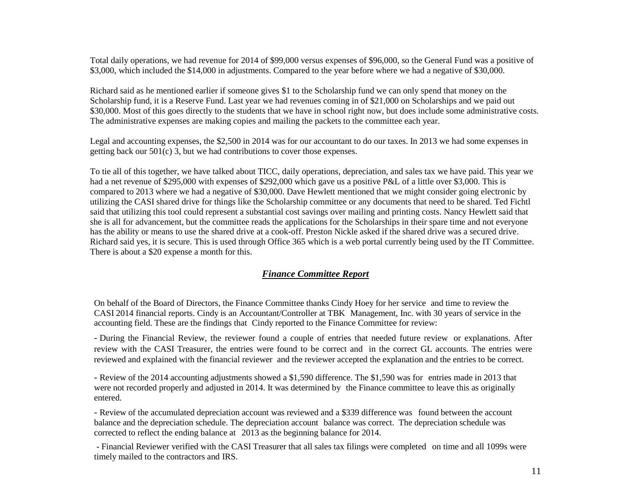Total daily operations, we had revenue for 2014 of \$99,000 versus expenses of \$96,000, so the General Fund was a positive of \$3,000, which included the \$14,000 in adjustments. Compared to the year before where we had a negative of \$30,000.

Richard said as he mentioned earlier if someone gives \$1 to the Scholarship fund we can only spend that money on the Scholarship fund, it is a Reserve Fund. Last year we had revenues coming in of \$21,000 on Scholarships and we paid out \$30,000. Most of this goes directly to the students that we have in school right now, but does include some administrative costs. The administrative expenses are making copies and mailing the packets to the committee each year.

Legal and accounting expenses, the \$2,500 in 2014 was for our accountant to do our taxes. In 2013 we had some expenses in getting back our 501(c) 3, but we had contributions to cover those expenses.

To tie all of this together, we have talked about TICC, daily operations, depreciation, and sales tax we have paid. This year we had a net revenue of \$295,000 with expenses of \$292,000 which gave us a positive P&L of a little over \$3,000. This is compared to 2013 where we had a negative of \$30,000. Dave Hewlett mentioned that we might consider going electronic by utilizing the CASI shared drive for things like the Scholarship committee or any documents that need to be shared. Ted Fichtl said that utilizing this tool could represent a substantial cost savings over mailing and printing costs. Nancy Hewlett said that she is all for advancement, but the committee reads the applications for the Scholarships in their spare time and not everyone has the ability or means to use the shared drive at a cook-off. Preston Nickle asked if the shared drive was a secured drive. Richard said yes, it is secure. This is used through Office 365 which is a web portal currently being used by the IT Committee. There is about a \$20 expense a month for this.

# *Finance Committee Report*

On behalf of the Board of Directors, the Finance Committee thanks Cindy Hoey for her service and time to review the CASI 2014 financial reports. Cindy is an Accountant/Controller at TBK Management, Inc. with 30 years of service in the accounting field. These are the findings that Cindy reported to the Finance Committee for review:

- During the Financial Review, the reviewer found a couple of entries that needed future review or explanations. After review with the CASI Treasurer, the entries were found to be correct and in the correct GL accounts. The entries were reviewed and explained with the financial reviewer and the reviewer accepted the explanation and the entries to be correct.

- Review of the 2014 accounting adjustments showed a \$1,590 difference. The \$1,590 was for entries made in 2013 that were not recorded properly and adjusted in 2014. It was determined by the Finance committee to leave this as originally entered.

- Review of the accumulated depreciation account was reviewed and a \$339 difference was found between the account balance and the depreciation schedule. The depreciation account balance was correct. The depreciation schedule was corrected to reflect the ending balance at 2013 as the beginning balance for 2014.

- Financial Reviewer verified with the CASI Treasurer that all sales tax filings were completed on time and all 1099s were timely mailed to the contractors and IRS.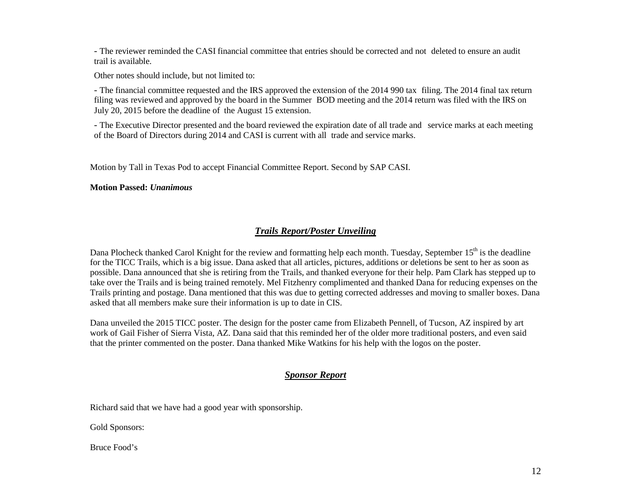- The reviewer reminded the CASI financial committee that entries should be corrected and not deleted to ensure an audit trail is available.

Other notes should include, but not limited to:

- The financial committee requested and the IRS approved the extension of the 2014 990 tax filing. The 2014 final tax return filing was reviewed and approved by the board in the Summer BOD meeting and the 2014 return was filed with the IRS on July 20, 2015 before the deadline of the August 15 extension.

- The Executive Director presented and the board reviewed the expiration date of all trade and service marks at each meeting of the Board of Directors during 2014 and CASI is current with all trade and service marks.

Motion by Tall in Texas Pod to accept Financial Committee Report. Second by SAP CASI.

### **Motion Passed:** *Unanimous*

# *Trails Report/Poster Unveiling*

Dana Plocheck thanked Carol Knight for the review and formatting help each month. Tuesday, September  $15<sup>th</sup>$  is the deadline for the TICC Trails, which is a big issue. Dana asked that all articles, pictures, additions or deletions be sent to her as soon as possible. Dana announced that she is retiring from the Trails, and thanked everyone for their help. Pam Clark has stepped up to take over the Trails and is being trained remotely. Mel Fitzhenry complimented and thanked Dana for reducing expenses on the Trails printing and postage. Dana mentioned that this was due to getting corrected addresses and moving to smaller boxes. Dana asked that all members make sure their information is up to date in CIS.

Dana unveiled the 2015 TICC poster. The design for the poster came from Elizabeth Pennell, of Tucson, AZ inspired by art work of Gail Fisher of Sierra Vista, AZ. Dana said that this reminded her of the older more traditional posters, and even said that the printer commented on the poster. Dana thanked Mike Watkins for his help with the logos on the poster.

# *Sponsor Report*

Richard said that we have had a good year with sponsorship.

Gold Sponsors:

Bruce Food's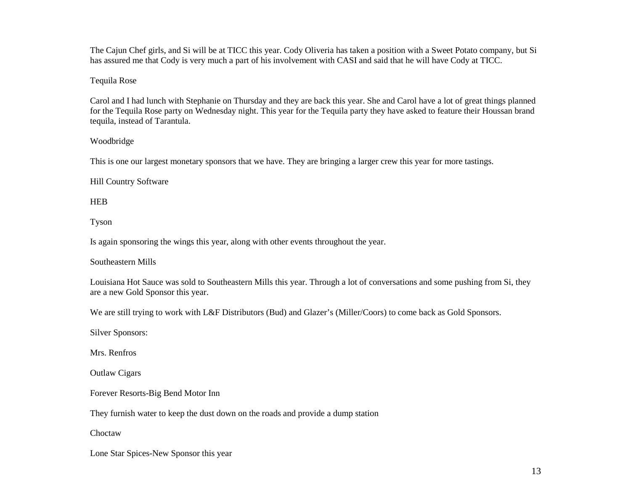The Cajun Chef girls, and Si will be at TICC this year. Cody Oliveria has taken a position with a Sweet Potato company, but Si has assured me that Cody is very much a part of his involvement with CASI and said that he will have Cody at TICC.

### Tequila Rose

Carol and I had lunch with Stephanie on Thursday and they are back this year. She and Carol have a lot of great things planned for the Tequila Rose party on Wednesday night. This year for the Tequila party they have asked to feature their Houssan brand tequila, instead of Tarantula.

### Woodbridge

This is one our largest monetary sponsors that we have. They are bringing a larger crew this year for more tastings.

Hill Country Software

HEB

Tyson

Is again sponsoring the wings this year, along with other events throughout the year.

Southeastern Mills

Louisiana Hot Sauce was sold to Southeastern Mills this year. Through a lot of conversations and some pushing from Si, they are a new Gold Sponsor this year.

We are still trying to work with L&F Distributors (Bud) and Glazer's (Miller/Coors) to come back as Gold Sponsors.

Silver Sponsors:

Mrs. Renfros

Outlaw Cigars

Forever Resorts-Big Bend Motor Inn

They furnish water to keep the dust down on the roads and provide a dump station

Choctaw

Lone Star Spices-New Sponsor this year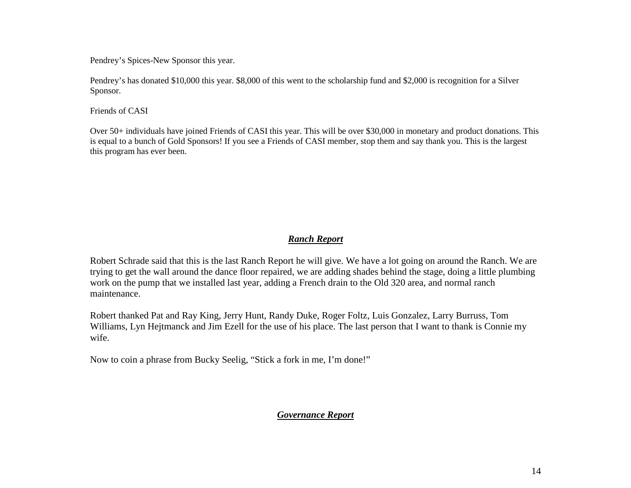Pendrey's Spices-New Sponsor this year.

Pendrey's has donated \$10,000 this year. \$8,000 of this went to the scholarship fund and \$2,000 is recognition for a Silver Sponsor.

Friends of CASI

Over 50+ individuals have joined Friends of CASI this year. This will be over \$30,000 in monetary and product donations. This is equal to a bunch of Gold Sponsors! If you see a Friends of CASI member, stop them and say thank you. This is the largest this program has ever been.

# *Ranch Report*

Robert Schrade said that this is the last Ranch Report he will give. We have a lot going on around the Ranch. We are trying to get the wall around the dance floor repaired, we are adding shades behind the stage, doing a little plumbing work on the pump that we installed last year, adding a French drain to the Old 320 area, and normal ranch maintenance.

Robert thanked Pat and Ray King, Jerry Hunt, Randy Duke, Roger Foltz, Luis Gonzalez, Larry Burruss, Tom Williams, Lyn Hejtmanck and Jim Ezell for the use of his place. The last person that I want to thank is Connie my wife.

Now to coin a phrase from Bucky Seelig, "Stick a fork in me, I'm done!"

# *Governance Report*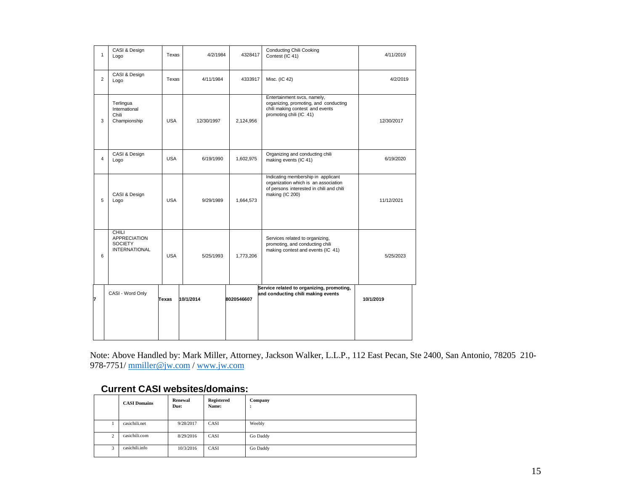| $\mathbf{1}$   | CASI & Design<br>Logo                                                  | Texas      | 4/2/1984   | 4328417    | <b>Conducting Chili Cooking</b><br>Contest (IC 41)                                                                                        | 4/11/2019  |
|----------------|------------------------------------------------------------------------|------------|------------|------------|-------------------------------------------------------------------------------------------------------------------------------------------|------------|
| $\overline{2}$ | CASI & Design<br>Logo                                                  | Texas      | 4/11/1984  | 4333917    | Misc. (IC 42)                                                                                                                             | 4/2/2019   |
| 3              | Terlingua<br>International<br>Chili<br>Championship                    | <b>USA</b> | 12/30/1997 | 2,124,956  | Entertainment svcs, namely,<br>organizing, promoting, and conducting<br>chili making contest and events<br>promoting chili (IC 41)        | 12/30/2017 |
| $\overline{4}$ | CASI & Design<br>Logo                                                  | <b>USA</b> | 6/19/1990  | 1,602,975  | Organizing and conducting chili<br>making events (IC 41)                                                                                  | 6/19/2020  |
| 5              | CASI & Design<br>Logo                                                  | <b>USA</b> | 9/29/1989  | 1,664,573  | Indicating membership in applicant<br>organization which is an association<br>of persons interested in chili and chili<br>making (IC 200) | 11/12/2021 |
| 6              | CHILI<br><b>APPRECIATION</b><br><b>SOCIETY</b><br><b>INTERNATIONAL</b> | <b>USA</b> | 5/25/1993  | 1,773,206  | Services related to organizing,<br>promoting, and conducting chili<br>making contest and events (IC 41)                                   | 5/25/2023  |
| 7              | CASI - Word Only                                                       | Texas      | 10/1/2014  | 8020546607 | Service related to organizing, promoting,<br>and conducting chili making events                                                           | 10/1/2019  |
|                |                                                                        |            |            |            |                                                                                                                                           |            |

Note: Above Handled by: Mark Miller, Attorney, Jackson Walker, L.L.P., 112 East Pecan, Ste 2400, San Antonio, 78205 210- 978-7751/ [mmiller@jw.com](mailto:mmiller@jw.com) / [www.jw.com](http://www.jw.com/)

# **Current CASI websites/domains:**

|             | <b>CASI Domains</b> | Renewal<br>Due: | Registered<br>Name: | Company  |
|-------------|---------------------|-----------------|---------------------|----------|
|             | casichili.net       | 9/28/2017       | CASI                | Weebly   |
| $\sim$<br>ı | casichili.com       | 8/29/2016       | CASI                | Go Daddy |
| $\sim$      | casichili.info      | 10/3/2016       | CASI                | Go Daddy |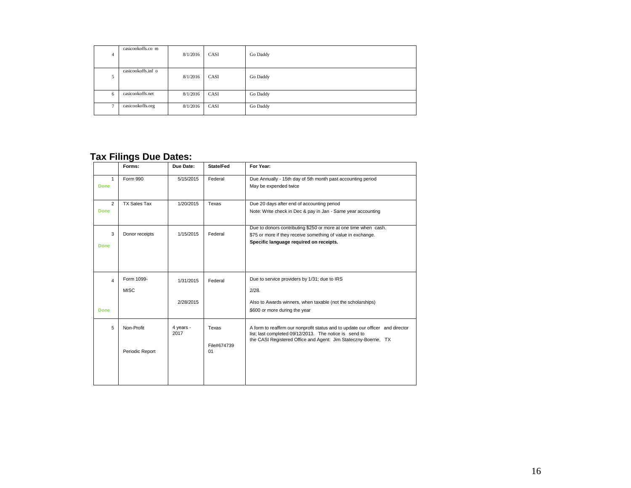| 4 | casicookoffs.co m  | 8/1/2016 | CASI | Go Daddy |
|---|--------------------|----------|------|----------|
| 5 | casicookoffs.inf o | 8/1/2016 | CASI | Go Daddy |
| 6 | casicookoffs.net   | 8/1/2016 | CASI | Go Daddy |
| ÷ | casicookoffs.org   | 8/1/2016 | CASI | Go Daddy |

# **Tax Filings Due Dates:**

|                               | Forms:                        | Due Date:              | State/Fed                  | For Year:                                                                                                                                                                                                  |
|-------------------------------|-------------------------------|------------------------|----------------------------|------------------------------------------------------------------------------------------------------------------------------------------------------------------------------------------------------------|
| Done                          | Form 990                      | 5/15/2015              | Federal                    | Due Annually - 15th day of 5th month past accounting period<br>May be expended twice                                                                                                                       |
| $\overline{2}$<br><b>Done</b> | <b>TX Sales Tax</b>           | 1/20/2015              | Texas                      | Due 20 days after end of accounting period<br>Note: Write check in Dec & pay in Jan - Same year accounting                                                                                                 |
| 3<br>Done                     | Donor receipts                | 1/15/2015              | Federal                    | Due to donors contributing \$250 or more at one time when cash.<br>\$75 or more if they receive something of value in exchange.<br>Specific language required on receipts.                                 |
| $\overline{4}$<br><b>Done</b> | Form 1099-<br><b>MISC</b>     | 1/31/2015<br>2/28/2015 | Federal                    | Due to service providers by 1/31; due to IRS<br>2/28.<br>Also to Awards winners, when taxable (not the scholarships)<br>\$600 or more during the year                                                      |
| 5                             | Non-Profit<br>Periodic Report | 4 years -<br>2017      | Texas<br>File#674739<br>01 | A form to reaffirm our nonprofit status and to update our officer and director<br>list; last completed 09/12/2013. The notice is send to<br>the CASI Registered Office and Agent: Jim Stateczny-Boerne, TX |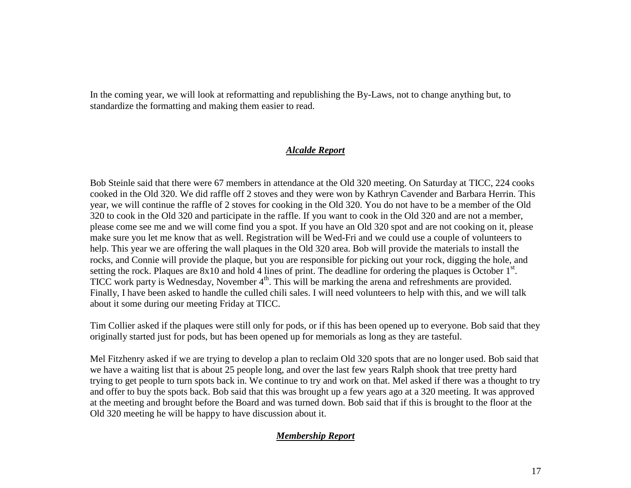In the coming year, we will look at reformatting and republishing the By-Laws, not to change anything but, to standardize the formatting and making them easier to read.

# *Alcalde Report*

Bob Steinle said that there were 67 members in attendance at the Old 320 meeting. On Saturday at TICC, 224 cooks cooked in the Old 320. We did raffle off 2 stoves and they were won by Kathryn Cavender and Barbara Herrin. This year, we will continue the raffle of 2 stoves for cooking in the Old 320. You do not have to be a member of the Old 320 to cook in the Old 320 and participate in the raffle. If you want to cook in the Old 320 and are not a member, please come see me and we will come find you a spot. If you have an Old 320 spot and are not cooking on it, please make sure you let me know that as well. Registration will be Wed-Fri and we could use a couple of volunteers to help. This year we are offering the wall plaques in the Old 320 area. Bob will provide the materials to install the rocks, and Connie will provide the plaque, but you are responsible for picking out your rock, digging the hole, and setting the rock. Plaques are  $8x10$  and hold 4 lines of print. The deadline for ordering the plaques is October  $1<sup>st</sup>$ . TICC work party is Wednesday, November 4<sup>th</sup>. This will be marking the arena and refreshments are provided. Finally, I have been asked to handle the culled chili sales. I will need volunteers to help with this, and we will talk about it some during our meeting Friday at TICC.

Tim Collier asked if the plaques were still only for pods, or if this has been opened up to everyone. Bob said that they originally started just for pods, but has been opened up for memorials as long as they are tasteful.

Mel Fitzhenry asked if we are trying to develop a plan to reclaim Old 320 spots that are no longer used. Bob said that we have a waiting list that is about 25 people long, and over the last few years Ralph shook that tree pretty hard trying to get people to turn spots back in. We continue to try and work on that. Mel asked if there was a thought to try and offer to buy the spots back. Bob said that this was brought up a few years ago at a 320 meeting. It was approved at the meeting and brought before the Board and was turned down. Bob said that if this is brought to the floor at the Old 320 meeting he will be happy to have discussion about it.

# *Membership Report*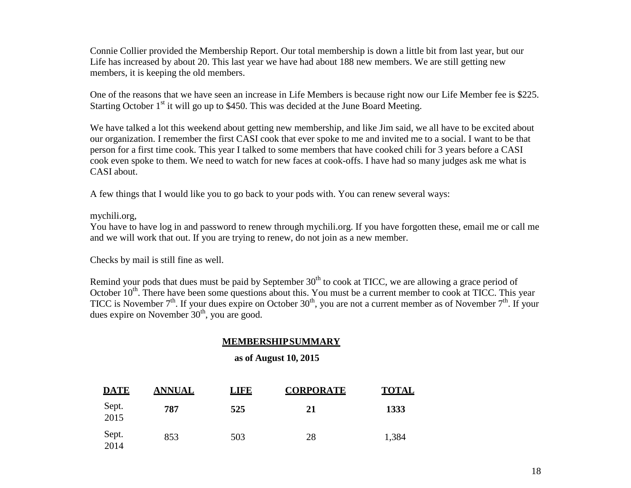Connie Collier provided the Membership Report. Our total membership is down a little bit from last year, but our Life has increased by about 20. This last year we have had about 188 new members. We are still getting new members, it is keeping the old members.

One of the reasons that we have seen an increase in Life Members is because right now our Life Member fee is \$225. Starting October  $1<sup>st</sup>$  it will go up to \$450. This was decided at the June Board Meeting.

We have talked a lot this weekend about getting new membership, and like Jim said, we all have to be excited about our organization. I remember the first CASI cook that ever spoke to me and invited me to a social. I want to be that person for a first time cook. This year I talked to some members that have cooked chili for 3 years before a CASI cook even spoke to them. We need to watch for new faces at cook-offs. I have had so many judges ask me what is CASI about.

A few things that I would like you to go back to your pods with. You can renew several ways:

mychili.org,

You have to have log in and password to renew through mychili.org. If you have forgotten these, email me or call me and we will work that out. If you are trying to renew, do not join as a new member.

Checks by mail is still fine as well.

Remind your pods that dues must be paid by September 30<sup>th</sup> to cook at TICC, we are allowing a grace period of October  $10<sup>th</sup>$ . There have been some questions about this. You must be a current member to cook at TICC. This year TICC is November  $7<sup>th</sup>$ . If your dues expire on October  $30<sup>th</sup>$ , you are not a current member as of November  $7<sup>th</sup>$ . If your dues expire on November  $30<sup>th</sup>$ , you are good.

# **MEMBERSHIPSUMMARY**

# **as of August 10, 2015**

| <b>DATE</b>   | <u>ANNUAL</u> | <b>LIFE</b> | <b>CORPORATE</b> | <b>TOTAL</b> |
|---------------|---------------|-------------|------------------|--------------|
| Sept.<br>2015 | 787           | 525         | 21               | 1333         |
| Sept.<br>2014 | 853           | 503         | 28               | 1,384        |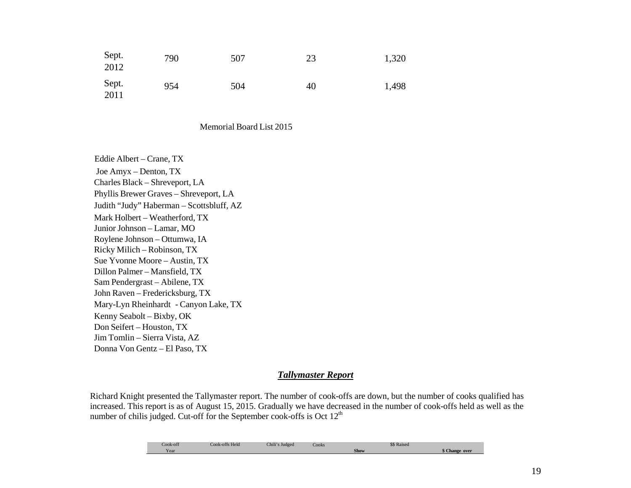| Sept.<br>2012 | 790 | 507 | 23 | 1,320 |
|---------------|-----|-----|----|-------|
| Sept.<br>2011 | 954 | 504 | 40 | 1,498 |

Memorial Board List 2015

 Eddie Albert – Crane, TX Joe Amyx – Denton, TX Charles Black – Shreveport, LA Phyllis Brewer Graves – Shreveport, LA Judith "Judy" Haberman – Scottsbluff, AZ Mark Holbert – Weatherford, TX Junior Johnson – Lamar, MO Roylene Johnson – Ottumwa, IA Ricky Milich – Robinson, TX Sue Yvonne Moore – Austin, TX Dillon Palmer – Mansfield, TX Sam Pendergrast – Abilene, TX John Raven – Fredericksburg, TX Mary-Lyn Rheinhardt - Canyon Lake, TX Kenny Seabolt – Bixby, OK Don Seifert – Houston, TX Jim Tomlin – Sierra Vista, AZ Donna Von Gentz – El Paso, TX

#### *Tallymaster Report*

Richard Knight presented the Tallymaster report. The number of cook-offs are down, but the number of cooks qualified has increased. This report is as of August 15, 2015. Gradually we have decreased in the number of cook-offs held as well as the number of chilis judged. Cut-off for the September cook-offs is Oct  $12<sup>th</sup>$ 

| Cook-off | Held<br>cook-offs | Chili's Judged | Cooks | \$\$ Raised |             |
|----------|-------------------|----------------|-------|-------------|-------------|
| Year     |                   |                |       | <b>Show</b> | Change over |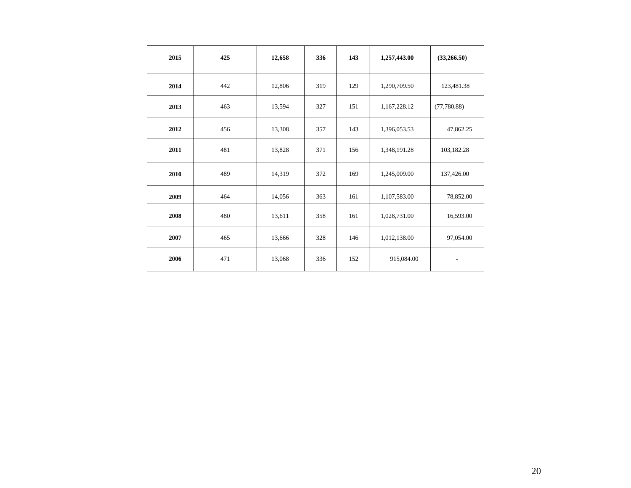| 2015 | 425 | 12,658 | 336 | 143 | 1,257,443.00 | (33,266.50) |
|------|-----|--------|-----|-----|--------------|-------------|
| 2014 | 442 | 12,806 | 319 | 129 | 1,290,709.50 | 123,481.38  |
| 2013 | 463 | 13,594 | 327 | 151 | 1,167,228.12 | (77,780.88) |
| 2012 | 456 | 13,308 | 357 | 143 | 1,396,053.53 | 47,862.25   |
| 2011 | 481 | 13,828 | 371 | 156 | 1,348,191.28 | 103,182.28  |
| 2010 | 489 | 14,319 | 372 | 169 | 1,245,009.00 | 137,426.00  |
| 2009 | 464 | 14,056 | 363 | 161 | 1,107,583.00 | 78,852.00   |
| 2008 | 480 | 13,611 | 358 | 161 | 1,028,731.00 | 16,593.00   |
| 2007 | 465 | 13,666 | 328 | 146 | 1,012,138.00 | 97,054.00   |
| 2006 | 471 | 13,068 | 336 | 152 | 915,084.00   |             |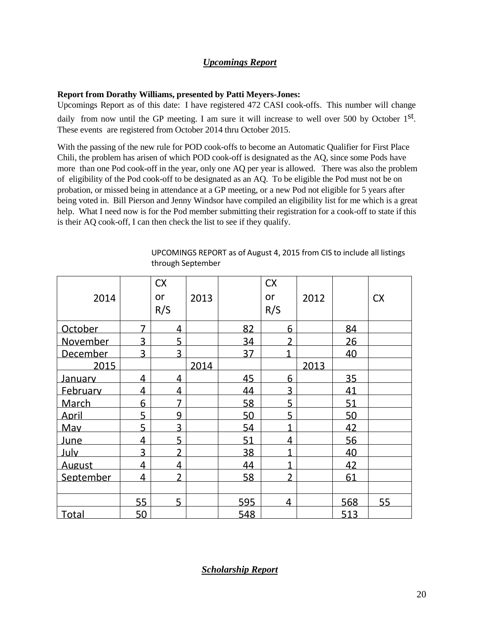# *Upcomings Report*

### **Report from Dorathy Williams, presented by Patti Meyers-Jones:**

Upcomings Report as of this date: I have registered 472 CASI cook-offs. This number will change daily from now until the GP meeting. I am sure it will increase to well over 500 by October  $1<sup>st</sup>$ . These events are registered from October 2014 thru October 2015.

With the passing of the new rule for POD cook-offs to become an Automatic Qualifier for First Place Chili, the problem has arisen of which POD cook-off is designated as the AQ, since some Pods have more than one Pod cook-off in the year, only one AQ per year is allowed. There was also the problem of eligibility of the Pod cook-off to be designated as an AQ. To be eligible the Pod must not be on probation, or missed being in attendance at a GP meeting, or a new Pod not eligible for 5 years after being voted in. Bill Pierson and Jenny Windsor have compiled an eligibility list for me which is a great help. What I need now is for the Pod member submitting their registration for a cook-off to state if this is their AQ cook-off, I can then check the list to see if they qualify.

|                |                | <b>CX</b>      |      |     | <b>CX</b>      |      |     |           |
|----------------|----------------|----------------|------|-----|----------------|------|-----|-----------|
| 2014           |                | or             | 2013 |     | or             | 2012 |     | <b>CX</b> |
|                |                | R/S            |      |     | R/S            |      |     |           |
| October        | 7              | 4              |      | 82  | 6              |      | 84  |           |
| November       | 3              | 5              |      | 34  | $\mathfrak{p}$ |      | 26  |           |
| December       | 3              | 3              |      | 37  | 1              |      | 40  |           |
| 2015           |                |                | 2014 |     |                | 2013 |     |           |
| <u>Januarv</u> | $\overline{4}$ | 4              |      | 45  | 6              |      | 35  |           |
| February       | 4              | 4              |      | 44  | 3              |      | 41  |           |
| March          | 6              |                |      | 58  | 5              |      | 51  |           |
| April          | 5              | 9              |      | 50  | $\overline{5}$ |      | 50  |           |
| <u>Mav</u>     | 5              | 3              |      | 54  | 1              |      | 42  |           |
| <b>June</b>    | $\overline{4}$ | 5              |      | 51  | 4              |      | 56  |           |
| July           | 3              | $\mathfrak{D}$ |      | 38  | 1              |      | 40  |           |
| <b>August</b>  | $\overline{4}$ | 4              |      | 44  | 1              |      | 42  |           |
| September      | 4              | $\overline{2}$ |      | 58  | $\overline{2}$ |      | 61  |           |
|                |                |                |      |     |                |      |     |           |
|                | 55             | 5              |      | 595 | $\overline{4}$ |      | 568 | 55        |
| <b>Total</b>   | 50             |                |      | 548 |                |      | 513 |           |

UPCOMINGS REPORT as of August 4, 2015 from CIS to include all listings through September

# *Scholarship Report*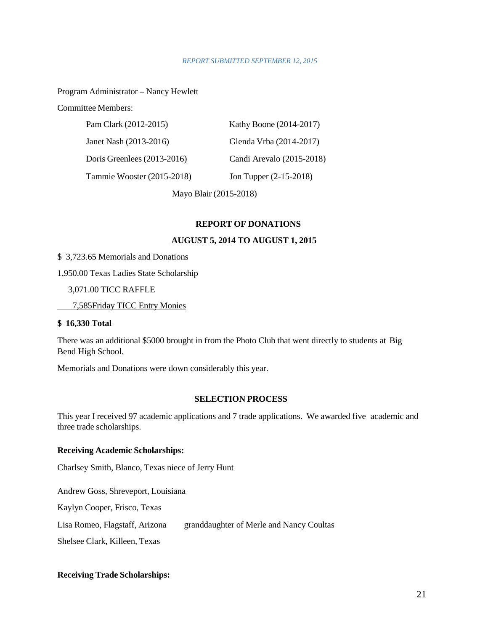#### *REPORT SUBMITTED SEPTEMBER 12, 2015*

Program Administrator – Nancy Hewlett

Committee Members:

| Pam Clark (2012-2015)         | Kathy Boone (2014-2017)   |
|-------------------------------|---------------------------|
| Janet Nash (2013-2016)        | Glenda Vrba (2014-2017)   |
| Doris Greenlees $(2013-2016)$ | Candi Arevalo (2015-2018) |
| Tammie Wooster (2015-2018)    | Jon Tupper (2-15-2018)    |

Mayo Blair (2015-2018)

### **REPORT OF DONATIONS**

### **AUGUST 5, 2014 TO AUGUST 1, 2015**

\$ 3,723.65 Memorials and Donations

1,950.00 Texas Ladies State Scholarship

3,071.00 TICC RAFFLE

7,585Friday TICC Entry Monies

### **\$ 16,330 Total**

There was an additional \$5000 brought in from the Photo Club that went directly to students at Big Bend High School.

Memorials and Donations were down considerably this year.

# **SELECTION PROCESS**

This year I received 97 academic applications and 7 trade applications. We awarded five academic and three trade scholarships.

### **Receiving Academic Scholarships:**

Charlsey Smith, Blanco, Texas niece of Jerry Hunt

Andrew Goss, Shreveport, Louisiana

Kaylyn Cooper, Frisco, Texas

Lisa Romeo, Flagstaff, Arizona granddaughter of Merle and Nancy Coultas

Shelsee Clark, Killeen, Texas

### **Receiving Trade Scholarships:**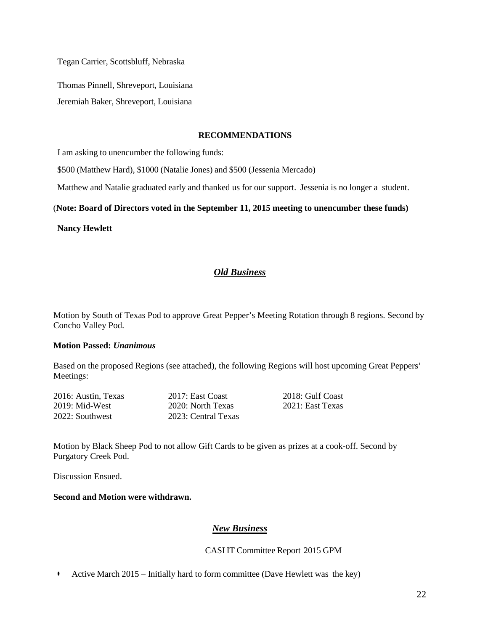Tegan Carrier, Scottsbluff, Nebraska

Thomas Pinnell, Shreveport, Louisiana

Jeremiah Baker, Shreveport, Louisiana

### **RECOMMENDATIONS**

I am asking to unencumber the following funds:

\$500 (Matthew Hard), \$1000 (Natalie Jones) and \$500 (Jessenia Mercado)

Matthew and Natalie graduated early and thanked us for our support. Jessenia is no longer a student.

### (**Note: Board of Directors voted in the September 11, 2015 meeting to unencumber these funds)**

**Nancy Hewlett**

# *Old Business*

Motion by South of Texas Pod to approve Great Pepper's Meeting Rotation through 8 regions. Second by Concho Valley Pod.

### **Motion Passed:** *Unanimous*

Based on the proposed Regions (see attached), the following Regions will host upcoming Great Peppers' Meetings:

| 2016: Austin, Texas | 2017: East Coast    | 2018: Gulf Coast |
|---------------------|---------------------|------------------|
| 2019: Mid-West      | 2020: North Texas   | 2021: East Texas |
| 2022: Southwest     | 2023: Central Texas |                  |

Motion by Black Sheep Pod to not allow Gift Cards to be given as prizes at a cook-off. Second by Purgatory Creek Pod.

Discussion Ensued.

### **Second and Motion were withdrawn.**

# *New Business*

### CASI IT Committee Report 2015 GPM

• Active March 2015 – Initially hard to form committee (Dave Hewlett was the key)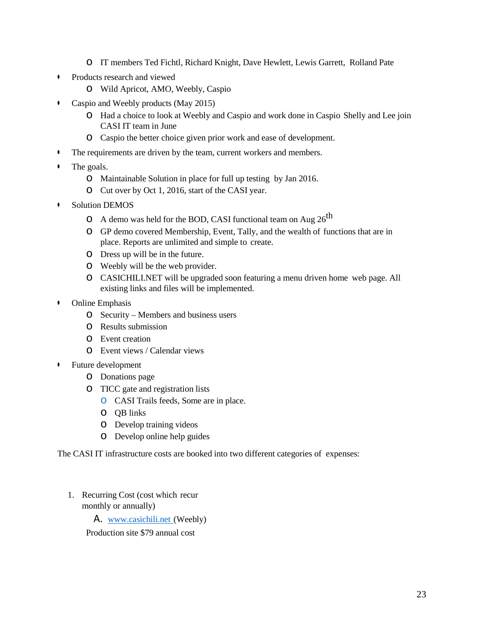- o IT members Ted Fichtl, Richard Knight, Dave Hewlett, Lewis Garrett, Rolland Pate
- Products research and viewed
	- o Wild Apricot, AMO, Weebly, Caspio
- Caspio and Weebly products (May 2015)
	- o Had a choice to look at Weebly and Caspio and work done in Caspio Shelly and Lee join CASI IT team in June
	- o Caspio the better choice given prior work and ease of development.
- The requirements are driven by the team, current workers and members.
- The goals.
	- o Maintainable Solution in place for full up testing by Jan 2016.
	- o Cut over by Oct 1, 2016, start of the CASI year.
- Solution DEMOS
	- $\circ$  A demo was held for the BOD, CASI functional team on Aug 26<sup>th</sup>
	- o GP demo covered Membership, Event, Tally, and the wealth of functions that are in place. Reports are unlimited and simple to create.
	- o Dress up will be in the future.
	- o Weebly will be the web provider.
	- o CASICHILI.NET will be upgraded soon featuring a menu driven home web page. All existing links and files will be implemented.
- Online Emphasis
	- o Security Members and business users
	- o Results submission
	- o Event creation
	- o Event views / Calendar views
- Future development
	- o Donations page
	- o TICC gate and registration lists
		- o CASI Trails feeds, Some are in place.
		- o QB links
		- o Develop training videos
		- o Develop online help guides

The CASI IT infrastructure costs are booked into two different categories of expenses:

1. Recurring Cost (cost which recur monthly or annually)

A. [www.casichili.net](http://www.casichili.net/) (Weebly)

Production site \$79 annual cost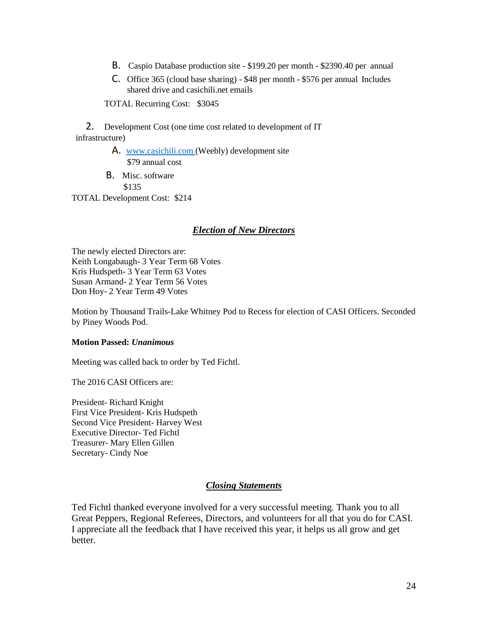- B. Caspio Database production site \$199.20 per month \$2390.40 per annual
- C. Office 365 (cloud base sharing) \$48 per month \$576 per annual Includes shared drive and casichili.net emails

TOTAL Recurring Cost: \$3045

2. Development Cost (one time cost related to development of IT infrastructure)

> A. [www.casichili.com \(](http://www.casichili.com/)Weebly) development site \$79 annual cost

B. Misc. software \$135 TOTAL Development Cost: \$214

### *Election of New Directors*

The newly elected Directors are: Keith Longabaugh- 3 Year Term 68 Votes Kris Hudspeth- 3 Year Term 63 Votes Susan Armand- 2 Year Term 56 Votes Don Hoy- 2 Year Term 49 Votes

Motion by Thousand Trails-Lake Whitney Pod to Recess for election of CASI Officers. Seconded by Piney Woods Pod.

#### **Motion Passed:** *Unanimous*

Meeting was called back to order by Ted Fichtl.

The 2016 CASI Officers are:

President- Richard Knight First Vice President- Kris Hudspeth Second Vice President- Harvey West Executive Director- Ted Fichtl Treasurer- Mary Ellen Gillen Secretary- Cindy Noe

### *Closing Statements*

Ted Fichtl thanked everyone involved for a very successful meeting. Thank you to all Great Peppers, Regional Referees, Directors, and volunteers for all that you do for CASI. I appreciate all the feedback that I have received this year, it helps us all grow and get better.